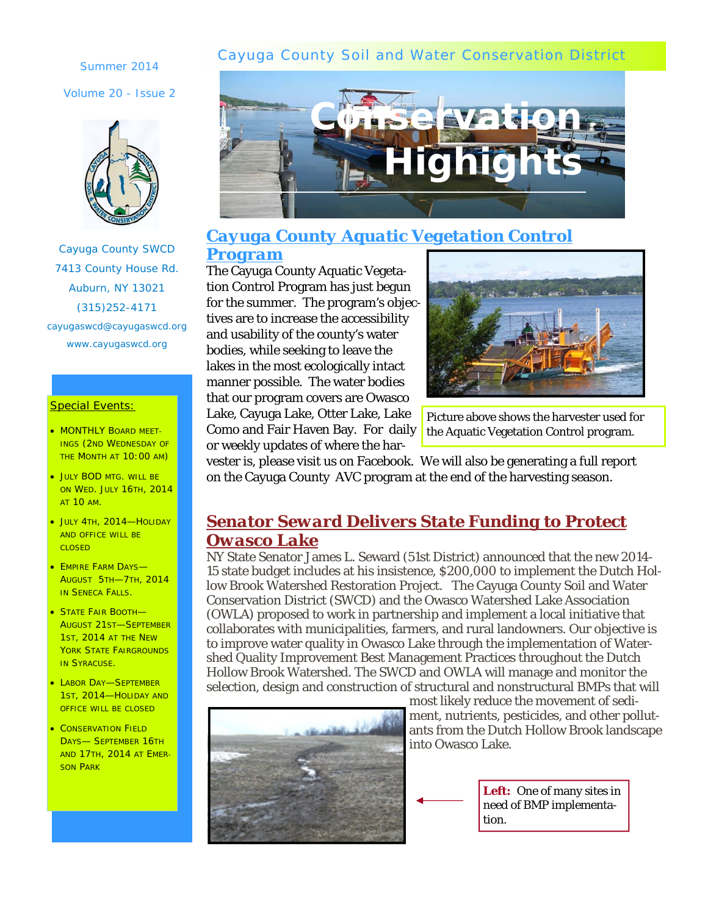### Cayuga County Soil and Water Conservation District

Summer 2014

Volume 20 - Issue 2



Cayuga County SWCD 7413 County House Rd. Auburn, NY 13021 (315)252-4171 cayugaswcd@cayugaswcd.org www.cayugaswcd.org

#### Special Events:

- MONTHLY BOARD MEET-INGS (2ND WEDNESDAY OF THE MONTH AT 10:00 AM)
- JULY BOD MTG. WILL BE ON WED. JULY 16TH, 2014 AT 10 AM.
- JULY 4TH, 2014—HOLIDAY AND OFFICE WILL BE CLOSED
- EMPIRE FARM DAYS-AUGUST 5TH—7TH, 2014 **IN SENECA FALLS.**
- STATE FAIR BOOTH-AUGUST 21ST—SEPTEMBER 1ST, 2014 AT THE NEW YORK STATE FAIRGROUNDS **IN SYRACUSE.**
- LABOR DAY-SEPTEMBER 1ST, 2014—HOLIDAY AND OFFICE WILL BE CLOSED
- **CONSERVATION FIELD** DAYS— SEPTEMBER 16TH AND 17TH, 2014 AT EMER-SON PARK



### *Cayuga County Aquatic Vegetation Control Program*

The Cayuga County Aquatic Vegetation Control Program has just begun for the summer. The program's objectives are to increase the accessibility and usability of the county's water bodies, while seeking to leave the lakes in the most ecologically intact manner possible. The water bodies that our program covers are Owasco Lake, Cayuga Lake, Otter Lake, Lake Como and Fair Haven Bay. For daily or weekly updates of where the har-



Picture above shows the harvester used for the Aquatic Vegetation Control program.

vester is, please visit us on Facebook. We will also be generating a full report on the Cayuga County AVC program at the end of the harvesting season.

## *Senator Seward Delivers State Funding to Protect Owasco Lake*

NY State Senator James L. Seward (51st District) announced that the new 2014- 15 state budget includes at his insistence, \$200,000 to implement the Dutch Hollow Brook Watershed Restoration Project. The Cayuga County Soil and Water Conservation District (SWCD) and the Owasco Watershed Lake Association (OWLA) proposed to work in partnership and implement a local initiative that collaborates with municipalities, farmers, and rural landowners. Our objective is to improve water quality in Owasco Lake through the implementation of Watershed Quality Improvement Best Management Practices throughout the Dutch Hollow Brook Watershed. The SWCD and OWLA will manage and monitor the selection, design and construction of structural and nonstructural BMPs that will



most likely reduce the movement of sediment, nutrients, pesticides, and other pollutants from the Dutch Hollow Brook landscape into Owasco Lake.

> *Left:* One of many sites in need of BMP implementation.